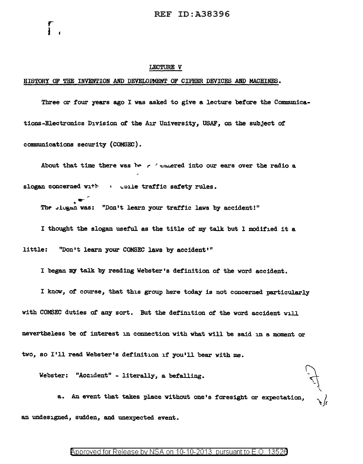#### LECTURE V

### HISTORY OF THE INVENTION AND DEVELOPMENT OF CIPHER DEVICES AND MACHINES.

r I

Three or four years ago I was asked to give a lecture before the Communications-Electronics Division of the Air University, USAF, on the subject of communications security (COMSEC).

About that time there was be r  $\epsilon$  sumered into our ears over the radio a slogan concerned with such the traffic safety rules.

 $\begin{array}{ll} \bullet \ \ast \end{array}$  . The single was: "Don't learn your traffic laws by accident!"

I thought the slogan useful. as the title of my talk but l modified it a little: "Don't learn your COMSEC laws by accident'"

I know, of course, that this group here today is not concerned particularly with COMSEC duties of any sort. But the definition of the word accident will nevertheless be of interest in connection with what will be said in a moment or two, so I'll read Webster's definition if you'll bear with me.

I began my talk by reading Webster's definition of the word accident.

Webster: "Accident" - literally, a befalling.

a. An event that takes place without one's foresight or expectation,  $\bigvee_i$ an undesigned, sudden, and unexpected event.

## Approved for Release by NSA on 10-10-2013 pursuant to E.O. 13526

'\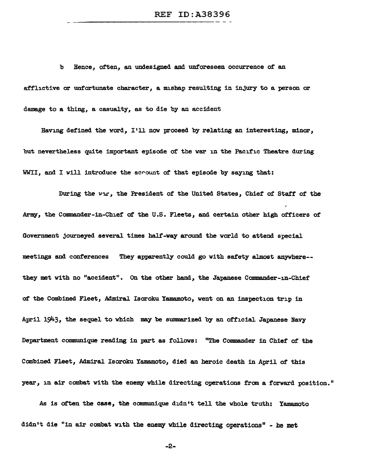b Hence, often, an undesigned and unforeseen occurrence of an afflictive or unfortunate character, a mishap resulting in injury to a person or damage to a thing, a casualty, as to die by an accident

Having defined the word, I'll now proceed by relating an interesting, minor, but nevertheless quite important episode of the war in the Pacific Theatre during WWII, and I will introduce the acrount of that episode by saying that:

During the war, the President of the United States, Chief of Staff of the Army, the Commander-in-Chief of the U.S. Fleets, and certain other high officers of Government journeyed several times half-way around the world to attend special meetings and conferences They apparently could go with safety almost anywhere- they met with no "accident". On the other hand, the Japanese Commander-in-Chief of the Combined Fleet, Admiral Isoroku Yamamoto, went on an inspection trip in April 1943, the sequel to which may be summarized by an official Japanese Navy Department communique reading in part as follows: "The Commander in Chief of the Combined Fleet, Admiral Isoroku Yamamoto, died an heroic death in April of' this year, in air combat with the enemy while directing operations from a forward position."

As is often the case, the communique didn't tell the whole truth: Yamamoto didn't die "in air combat with the enemy while directing operations" - be met

-2-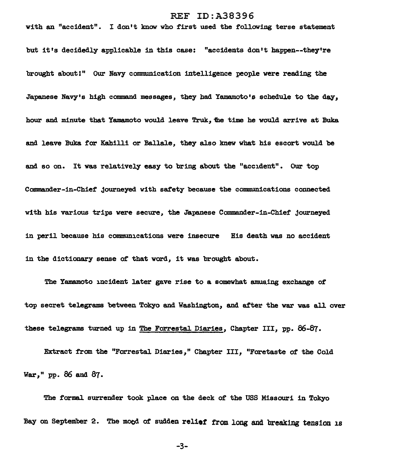with an "accident". I don't know who first used the following terse statement but it's decidedly applicable in this case: "accidents don't happen--they're brought about!" Our Navy communication intelligence people were reading the Japanese Navy's high command messages, they had Yamamoto's schedule to the day, hour and minute that Yamamoto would leave Truk, the time he would arrive at Buka and leave Buka for Kahilli or Ballale, they also knew what his escort would be and so on. It was relatively easy to bring about the "accident". Our top Commander-in-Chief journeyed with saf'ety because the communications connected with his various trips were secure, the Japanese Commander-in-Chief journeyed in peril because his communications were insecure His death was no accident in the dictionary sense ot that word, it was brought about.

The Yamamoto incident later gave rise to a somewhat amuaing exchange of top secret telegrams between Tokyo and Washington, and after the war was all over these telegrams turned up in The Forrestal Diaries, Chapter III, pp. 86-87.

Extract from the "Forrestal Diaries," Chapter III, "Foretaste of the Cold War,"  $pp.$  86 and 87.

The formal surrender took place on the deck of the USS Missouri in Tokyo Bay on September 2. The mood of sudden relief from long and breaking tension is

-3-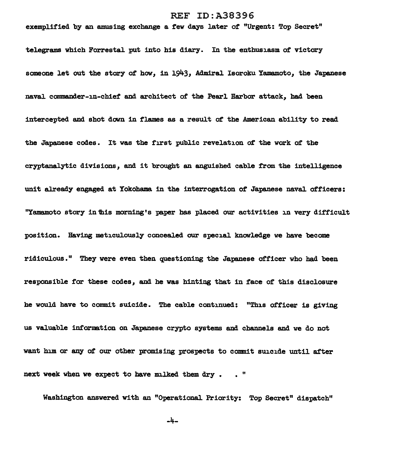exemplified by an amusing exchange a few days later of "Urgent: Top Secret" teJ.egrams which ForrestaJ. put into his diary. In the enthusiasm *at* victory someone let out the story of how, in 1943, Admiral Isoroku Yamamoto, the Japanese navaJ. commander-in-chief' and architect of the PearJ. Harbor attack, had been intercepted and shot down in flames as a result of the American ability to read the Japanese codes. It was the first pubJ.ic reveJ.ation of' the work *at* the cryptanalytic divisions, and it brought an anguished cab1e from the inteJ.ligence unit already engaged at Yokohama in the interrogation of' Japanese nava1 officers: "Yamamoto story in this morning's paper has placed our activities in very difficult position. Having meticulously concealed our special knowledge we have become ridiculous." They were even then questioning the Japanese officer who had been responsible for these codes, and he was hinting that in face of this disclosure he would have to commit suicide. The cable continued: "This officer is giving us valuable information on Japanese crypto systems and channels and we do not want him or any of our other promising prospects to commit suicide until after next week when we expect to have milked them dry. . "

Washington answered with an "Operationa1 Priority: Top Secret" dispatch"

-4-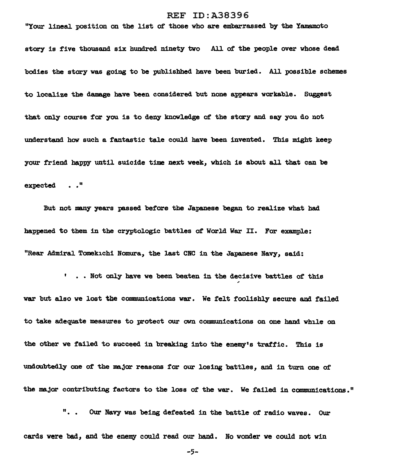"Your lineal. position on the list of those who are embarrassed by the Yamamoto story is five thousand six hundred ninety two A1l of the people over whose dead bodies the story was going to be publishhed have been buried. A1l possible schemes to localize the damage have been considered but none appears workable. Suggest that only course for you is to deny knowledge of the story and say you do not understand how such a fantastic tale could have been invented. This might keep your friend happy until suicide time next week, which is about all that can be expected . ."

But not many years passed before the Japanese began to realize what bad happened to them in the cryptologic battles of World War II. For example: "Rear Admiral Tomekichi Nomura, the last CNC in the Japanese Navy, said:

•• Not only have we been beaten in the decisive battles of this war but also we lost the communications war. We felt foolishly secure and failed to take adequate measures to protect our own communications on one hand while on the other we failed to succeed in breaking into the enemy's traffic. This is undoubtedly one of the major reasons for our losing battles, and in turn one of the major contributing factors to the loss of the war. We failed in communications."

".. Our Navy was being defeated in the battle of radio waves. Our cards were bad, and the enemy could read our hand. No wonder we could not win

-5-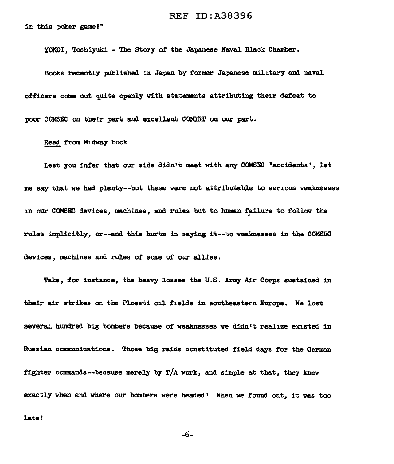in this poker game!"

YOKOI, Toshiyuki - The Stary of the Japanese Naval Black Chamber.

Books recently published in Japan by former Japanese military and naval officers come out quite openly with statements attributing their defeat to poor COMSEC on their part and excellent COMINT on our part.

### Read from Midway book

Lest you infer that our side didn't meet with any COMSEC "accidents', let me say that we had plenty--but these were not attributable to serious weaknesses in our COMSEC devices, machines, and rules but to human failure to follow the rules implicitly, or--and this hurts in saying it--to weaknesses in the COMSEC devices, machines and rules of some of our allies.

Take, for instance, the heavy losses the U.S. Army Air Corps sustained in their air strikes on the Ploesti oil fields in southeastern Europe. We lost several hundred big bombers because of weaknesses we didn't realize existed in Russian communications. Those big raids constituted field days for the German fighter commands--because merely by  $T/A$  work, and simple at that, they knew exactly when and where our bombers were headed' When we found out, it was too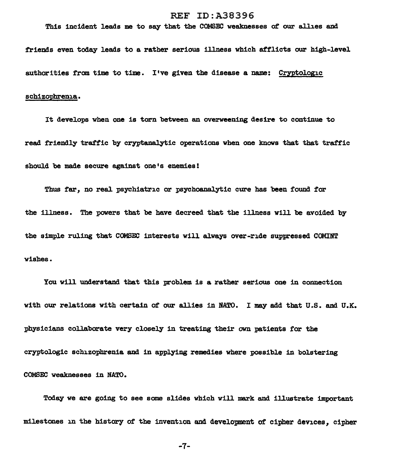This incident leads me to say that the COMSEC weaknesses of our allies and

friends even today leads to a rather serious illness which attlicts our high-level authorities from time to time. I've given the disease a name: Cryptologic

# schizophrenia.

It develops when one is torn between an overweening desire to continue to read friendly traffic by cryptanalytic operations when one knows that that tratf'ic should be made secure against one's enemies!

Thus far, no real psychiatric or psychoanalytic cure has been found for the illness. The powers that be have decreed that the illness will be avoided by the simple ruling that COMSEC interests will always over-ride suppressed COMINT wishes.

You will understand that this problem is a rather serious one in connection with our relations with certain of our allies in NATO. I may add that U.S. and U.K. physicians collaborate very closely in treating their own patients for the cryptol.ogic schizophrenia and in applying remedies where possible in bolstering COMSEC weaknesses in NATO.

Today we are going to see some slides which will mark and illustrate important milestones in the history of the invention and development of cipher devices, cipher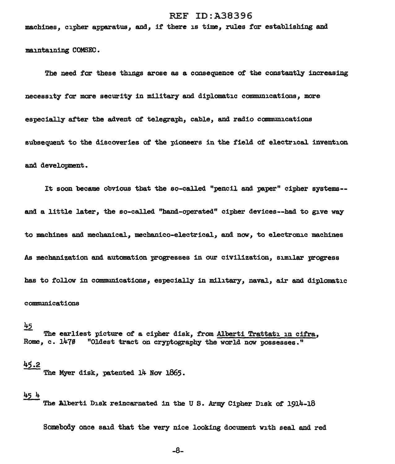machines, cipher apparatus, and, if there is time, rules for establishing and

maintaining COMSEC.

The need for these things arose as a consequence of the constantly increasing necessity *far* mare security in military and diplomatic communications, more especially after the advent of telegraph, cable, and radio communications subsequent to the discoveries of the pioneers in the field of electrical invention and development.

It soon became obvious that the so-called "pencil and paper" cipher systems- and a little later, the so-called "hand-operated" cipher devices--had to give way to machines and mechanical, mechanico-electrical, and now, to electronic machines As mechanization and automation progresses in our civilization, similar progress has to follow in communications, especially in military, naval, air and diplomatic communications

# $45$

The earliest picture of a cipher disk, from Alberti Trattati in cifra, Rome, c.  $1479$  "Oldest tract on cryptography the world now possesses."

# 45.2

The Myer disk, patented 14 Nov 1865.

 $\frac{45 \text{ h}}{100}$  The Alberti Disk reincarnated in the U S. Army Cipher Disk of 1914-18

Somebody once said that the very nice looking document with seal and red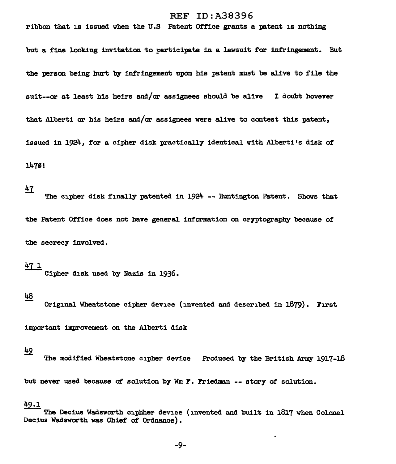# ribbon that is issued when the U.S Patent Office grants a patent is nothing

but a fine looking invitation to participate in a lawsuit for infringement. But the person being hurt by infringement upon his patent must be alive to file the suit--or at least his heirs and/or assignees should be alive I doubt however that Alberti or his heirs and/or assignees were alive to contest this patent, issued in 1924, for a cipher disk practically identical. with Alberti's disk of 1470!

# $47$

The cipher disk finally patented in  $1924$  -- Huntington Patent. Shows that the Patent Office does not have general information on cryptography because of the secrecy involved.

## $471$

Cipher disk used by Nazis in 1936.

### 48

Original Wheatstone cipher device (invented and described in 1879). First

important improvement on the Alberti disk

# 49

The modified Wheatstone cipher device Produced by the British Army 1917-18 but never used because of solution by Wm F. Friedman -- story of solution.

#### 49.1

The Decius Wadsworth cipbher device (invented and built in 1817 when Colonel Decius Wadsworth was Chief of Ordnance).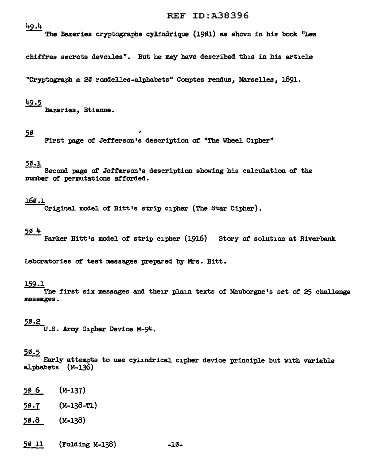49.4

The Bazeries cryptographe cylindrique (1901) as shown in his book "Les

chiff'res secrets devoiles". But he may have described this in his article

"Cryptograph a 20 rondelles-alphabets" Comptes rendus. Marselles. 1891.

 $\frac{49.5}{2}$  Bazeries, Etienne.

## $50$

First page *at* Jefferson's description of "The Wheel Cipher"

## 2s.1

Second page *at* Jefferson's description showing his calculation of the number of permutations afforded.

# J.6S.l

Original model of Bitt•s strip cipher (The Star Cipher).

## <u>504</u>

Parker Hitt's model of strip cipher (1916) Story of solution at Riverbank

Laboratories of test messages prepared by Mrs. Hitt.

### 159.l

The first six messages and their plain texts of Mauborgne's set of 25 challenge messages.

## 5s.2

U.S. Army Cipher Device M-94.

# 5s.5

Early attempts to use cylindrical cipher device principle but with variable alphabets (M-136)

- 50 6 (M-137)
- 50.7 (M-138-T1)
- 50.8 (M-138)
- 50 11 (Folding M-138) -10-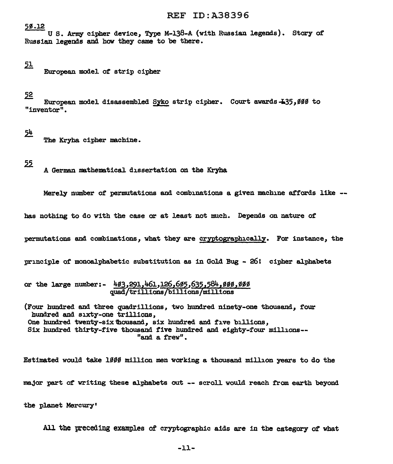## 58.12

U S. Army cipher device, Type M-138-A {with Russian legends). Story of Russian legends and how they came to be there.

51

European model of strip cipher

 $52$ <br>European model disassembled Syko strip cipher. Court awards  $-135.000$  to "inventor".

# $5<sup>h</sup>$

The Kryha cipher machine.

 $55$ 

A German mathematical dissertation on the Kryha

Merely number of permutations and combinations a given machine affords like  $-$ -

has nothing to do with the case or at least not much. Depends on nature of

permutations and combinations, what they are cryptographically. For instance, the

principle of' monoalphabetic substitution as in Gold Bug - 26! cipher alphabets

or the large number:-  $403,291,461,126,695,635,584,999,999$ quad/trillions/billions millions

(Four hundred and three quadrillions, two hundred ninety-one thousand, f'our hundred and sixty-one trillions, One hundred twenty-six thousand, six hundred and five billions, Six hundred thirty-f'ive thousand. five hundred and eighty-four millions-- "and a frew".

Estimated would take 1000 million men working a thousand million years to do the major part of writing these alphabets out -- scroll would reach from earth beyond the planet Mercury•

All the preceding examples of cryptographic aids are in the category of what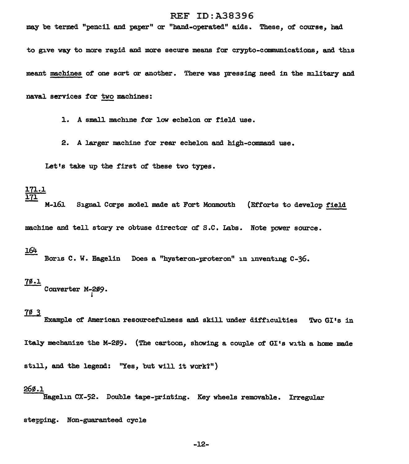may be termed "pencil and paper" or "hand-operated" aids. These, of course, had

to give way to more rapid and more secure means for crypto-communications, and this

meant machines of one sort or another. There was pressing need in the military and

naval services for two machines:

1. A small machine for low echelon or field use.

2. A larger machine for rear echelon and high-command use.

Let's take up the first of these two types.

# 171.l J.71

M-161 Signal Corps model made at Fort Monmouth (Efforts to develop field

machine and tell story re obtuse director of S.C. Labs. Note power source.

#### 164

Boris C. W. Hagelin Does a "hysteron-proteron" in inventing C-36.

 $\frac{7\cancel{6}.1}{\text{Converter}}$  M-209.

# 1LI.

Example of American resourcefulness and skill under difficulties Two GI's in

Italy mechanize the M-209. (The cartoon, showing a couple of GI's with a home made

still, and the legend: "Yes, but will it work?")

#### 26,.l

.<br>Hagelin CX-52. Double tape-printing. Key wheels removable. Irregular

stepping. Non-guaranteed cycle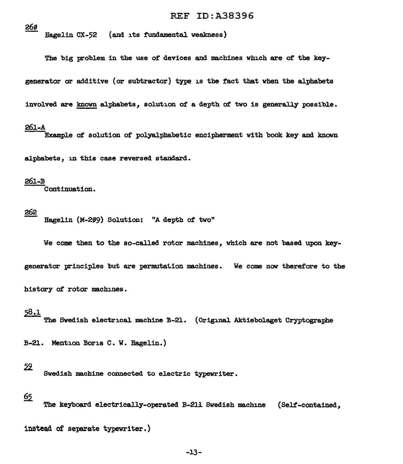26ø

Hagelin CX-52 {and its fundamental weakness)

The big problem in the use of devices and machines which are of the key-

generator or additive (or subtractor) type is the fact that when the alphabets

involved are known alphabets, solution of a depth of two is generally possible.

### 261-A

Example of solution of polyalphabetic encipherment with book key and known

alphabets, in this case reversed standard.

#### 261-B

Continuation.

g§g Bagelin (M-299) Solution: "A depth of two"

We come then to the so-called rotor machines, which are not based upon key-

generator principles but are permutation machines. We come now therefore to the

history of rotor machines.

# 58.1

The Swedish electrical machine B-21. (Original Aktiebolaget Cryptographe

B-21. Mention Boris C. W. Ragelin.)

instead af separate typewriter.)

# 59

Swedish machine connected to electric typewriter.

# 65

The keyboard electrically-operated B-211 Swedish machine (Self-contained,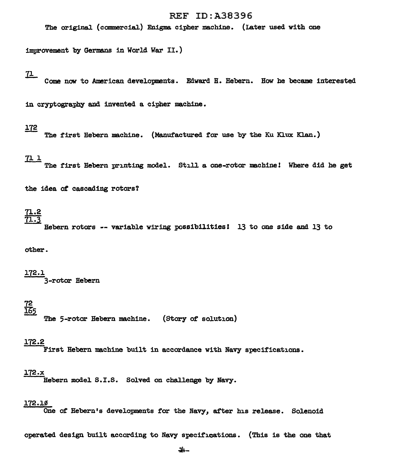The original (commercial.) Enigma cipher machine. (Later used with one

improvement by Germans in World War II.)

<u>71. </u>

Come now to American developments. Edward H. Hebern. How he became interested

in cryptography and invented a cipher machine.

## 172

The first Hebern machine. (Manufactured for use by the Ku Klux Klan.)

# <u>71 1</u>

The first Hebern printing model. Still a one-rotor machine! Where did he get

the idea of cascading rotors?

# 71.2 <u>71.3</u>

Hebern rotors -- variable wiring possibilities! 13 to one side and 13 to

other.

# 172.J.

3-rotor Hebern

# 72 <u>165</u>

The 5-rotor Hebern machine. (Story of solution)

## 172.2

First Hebern machine built in accordance with Navy specifications.

#### 172.x

Hebern model S.I.S. Solved on challenge by Navy.

### 172.10

One of' Hebern's developments *tor* the Navy, after his release. Solenoid

operated design built according to Navy specifications. (This is the one that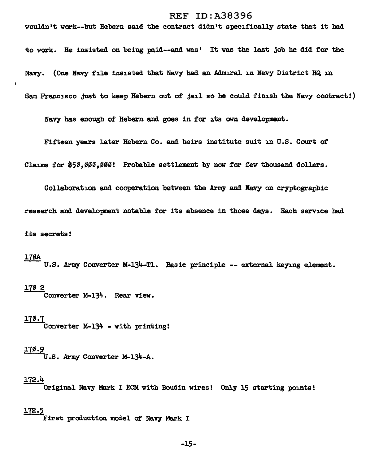wouldn't work--but Hebern said the contract didn't specifically state that it had

to work. He insisted on being paid--and was' It was the last job he did for the Navy. (One Navy file insisted that Navy had an Admiral in Navy District HQ in San Francisco Just to keep Hebern out of Jail so he could finish the Navy contract!)

Navy has enough of Hebern and goes in far its own development.

Fifteen years later Hebern Co. and heirs institute suit in U.S. Court of

Claims for \$50,000,000! Probable settlement by now for few thousand dollars.

Collaboration and cooperation between the *Army* and Navy on cryptographic research and development notable for its absence in those days. Each service had its secrets!

# l7f6A

 $\mathbf{I}$ 

U.S. Army Converter M-134-Tl. Basic principle -- external keying element.

# 17<u>0 2</u>

Converter M-134. Rear view.

#### 170.7

Converter M-134 - with printing!

# <u>17ø.9</u>

U .s. Army Converter M-134-A.

## 172.4

Original Navy Mark I ECM with Boudin wires! Only 15 starting points!

## 172.5

First production model of Navy Mark I

-15-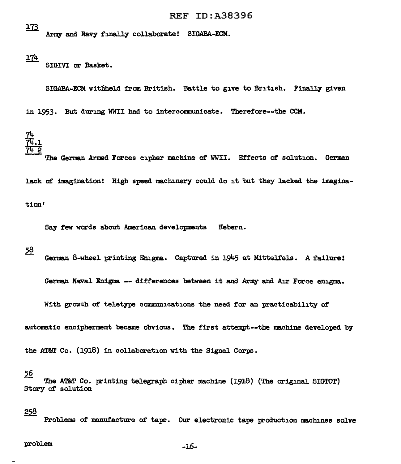173 Army and Navy finally collaborate! SIGABA-ECM.

 $174$ 

SIGIVI or Basket.

SIGABA-ECM withheld from British. Battle to give to British. Finally given

in 1953. But during WWII had to intercommunicate. Therefore--the CCM.



The German Armed Forces cipher machine of WWII. Effects of solution. German lack of imagination! High speed machinery could do it but they lacked the imagination'

Say few words about American developments Hebern.

 $58$ 

German 8-wheel printing Enigma. Captured in 1945 at Mittelfels. A failure!

German Naval Enigma -- differences between it and Army and A1r Force enigma.

With growth of teletype communications the need for an practicability of

automatic encipherment became obvious. The first attempt--the machine developed by

the AT&T Co.  $(1918)$  in collaboration with the Signal Corps.

# 2§

The AT&T Co. printing telegraph cipher machine (1918) (The original. SIGTOT) Story of solution

### 258

Problems of manufacture of tape. Our electronic tape production machines solve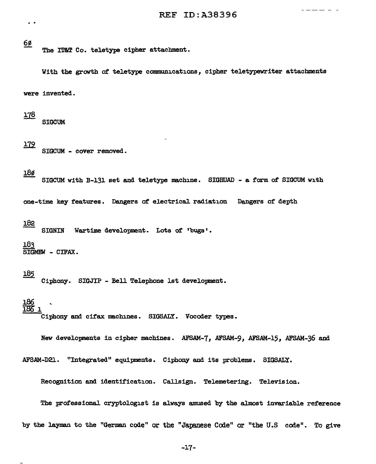## 6ø

The IT&T Co. teletype cipher attachment.

With the growth of teletype communications, cipher teletypewriter attachments were invented.

<u> 178</u>

**SIGCUM** 

## <u> 179</u>

SIGCUM - cover removed.

## 18ø

SIGCUM with B-131 set and teletype machine. SIGHUAD - a form of SIGCUM with

one-time key features. Dangers of electrical radiation Dangers of depth

### 182

SIGNIN Wartime development. Lots of 'bugs'.

#### 183

SIGMEW - CIFAX.

## <u> 185</u>

Ciphony. SIGJIP - Bell Telephone lst development.

l.86 IBb 1

.<br>Ciphony and cifax machines. SIGSALY. Vocoder types.

New developments in cipher machines. AFSAM-7, AFSAM-9, AFSAM-15, AFSAM-36 and AFSAM-D2l.. "Integrated" equipments. Cipbony and its problems. SIGSALY.

Recognition and identification. Callsign. Telemetering. Television.

The professional cryptologist is always amused by the almost invariable reference by the layman to the "German code" or the "Japanese Code" or "the U.S code". To give